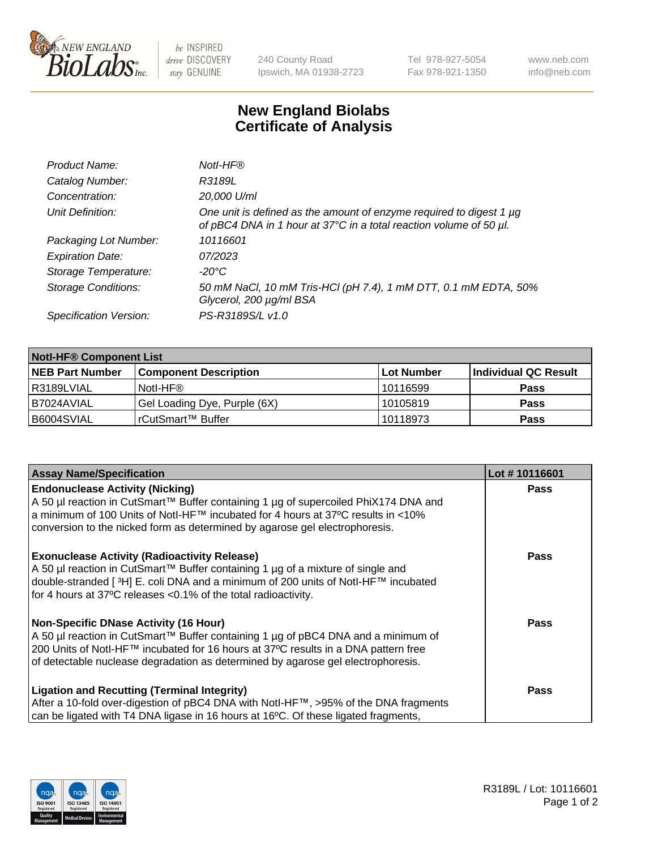

 $be$  INSPIRED drive DISCOVERY stay GENUINE

240 County Road Ipswich, MA 01938-2723 Tel 978-927-5054 Fax 978-921-1350 www.neb.com info@neb.com

## **New England Biolabs Certificate of Analysis**

| Product Name:              | Notl-HF®                                                                                                                                  |
|----------------------------|-------------------------------------------------------------------------------------------------------------------------------------------|
| Catalog Number:            | R3189L                                                                                                                                    |
| Concentration:             | 20,000 U/ml                                                                                                                               |
| Unit Definition:           | One unit is defined as the amount of enzyme required to digest 1 µg<br>of pBC4 DNA in 1 hour at 37°C in a total reaction volume of 50 µl. |
| Packaging Lot Number:      | 10116601                                                                                                                                  |
| <b>Expiration Date:</b>    | 07/2023                                                                                                                                   |
| Storage Temperature:       | -20°C                                                                                                                                     |
| <b>Storage Conditions:</b> | 50 mM NaCl, 10 mM Tris-HCl (pH 7.4), 1 mM DTT, 0.1 mM EDTA, 50%<br>Glycerol, 200 µg/ml BSA                                                |
| Specification Version:     | PS-R3189S/L v1.0                                                                                                                          |

| <b>Notl-HF® Component List</b> |                              |            |                      |  |  |
|--------------------------------|------------------------------|------------|----------------------|--|--|
| <b>NEB Part Number</b>         | <b>Component Description</b> | Lot Number | Individual QC Result |  |  |
| R3189LVIAL                     | Notl-HF®                     | 10116599   | <b>Pass</b>          |  |  |
| I B7024AVIAL                   | Gel Loading Dye, Purple (6X) | 10105819   | <b>Pass</b>          |  |  |
| B6004SVIAL                     | l rCutSmart™ Buffer          | 10118973   | <b>Pass</b>          |  |  |

| <b>Assay Name/Specification</b>                                                                                                                                           | Lot #10116601 |
|---------------------------------------------------------------------------------------------------------------------------------------------------------------------------|---------------|
| <b>Endonuclease Activity (Nicking)</b><br>A 50 µl reaction in CutSmart™ Buffer containing 1 µg of supercoiled PhiX174 DNA and                                             | <b>Pass</b>   |
| a minimum of 100 Units of Notl-HF™ incubated for 4 hours at 37°C results in <10%<br>conversion to the nicked form as determined by agarose gel electrophoresis.           |               |
| <b>Exonuclease Activity (Radioactivity Release)</b><br>  A 50 µl reaction in CutSmart™ Buffer containing 1 µg of a mixture of single and                                  | <b>Pass</b>   |
| double-stranded [ <sup>3</sup> H] E. coli DNA and a minimum of 200 units of Notl-HF™ incubated<br>for 4 hours at 37°C releases <0.1% of the total radioactivity.          |               |
| Non-Specific DNase Activity (16 Hour)                                                                                                                                     | <b>Pass</b>   |
| A 50 µl reaction in CutSmart™ Buffer containing 1 µg of pBC4 DNA and a minimum of<br>200 Units of Notl-HF™ incubated for 16 hours at 37°C results in a DNA pattern free   |               |
| of detectable nuclease degradation as determined by agarose gel electrophoresis.                                                                                          |               |
| <b>Ligation and Recutting (Terminal Integrity)</b>                                                                                                                        | <b>Pass</b>   |
| After a 10-fold over-digestion of pBC4 DNA with Notl-HF™, >95% of the DNA fragments<br>can be ligated with T4 DNA ligase in 16 hours at 16°C. Of these ligated fragments, |               |